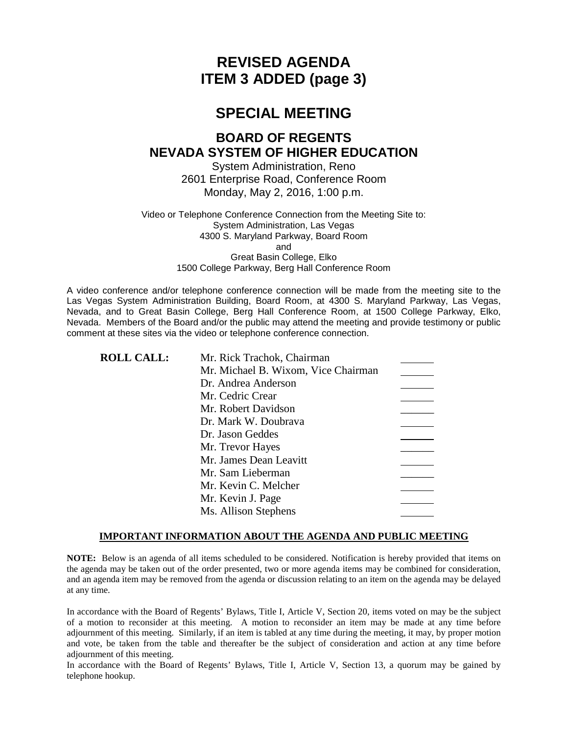# **REVISED AGENDA ITEM 3 ADDED (page 3)**

# **SPECIAL MEETING**

# **BOARD OF REGENTS NEVADA SYSTEM OF HIGHER EDUCATION**

System Administration, Reno 2601 Enterprise Road, Conference Room Monday, May 2, 2016, 1:00 p.m.

Video or Telephone Conference Connection from the Meeting Site to: System Administration, Las Vegas 4300 S. Maryland Parkway, Board Room and Great Basin College, Elko 1500 College Parkway, Berg Hall Conference Room

A video conference and/or telephone conference connection will be made from the meeting site to the Las Vegas System Administration Building, Board Room, at 4300 S. Maryland Parkway, Las Vegas, Nevada, and to Great Basin College, Berg Hall Conference Room, at 1500 College Parkway, Elko, Nevada. Members of the Board and/or the public may attend the meeting and provide testimony or public comment at these sites via the video or telephone conference connection.

| <b>ROLL CALL:</b> | Mr. Rick Trachok, Chairman          |  |
|-------------------|-------------------------------------|--|
|                   | Mr. Michael B. Wixom, Vice Chairman |  |
|                   | Dr. Andrea Anderson                 |  |
|                   | Mr. Cedric Crear                    |  |
|                   | Mr. Robert Davidson                 |  |
|                   | Dr. Mark W. Doubrava                |  |
|                   | Dr. Jason Geddes                    |  |
|                   | Mr. Trevor Hayes                    |  |
|                   | Mr. James Dean Leavitt              |  |
|                   | Mr. Sam Lieberman                   |  |
|                   | Mr. Kevin C. Melcher                |  |
|                   | Mr. Kevin J. Page                   |  |
|                   | Ms. Allison Stephens                |  |
|                   |                                     |  |

### **IMPORTANT INFORMATION ABOUT THE AGENDA AND PUBLIC MEETING**

**NOTE:** Below is an agenda of all items scheduled to be considered. Notification is hereby provided that items on the agenda may be taken out of the order presented, two or more agenda items may be combined for consideration, and an agenda item may be removed from the agenda or discussion relating to an item on the agenda may be delayed at any time.

In accordance with the Board of Regents' Bylaws, Title I, Article V, Section 20, items voted on may be the subject of a motion to reconsider at this meeting. A motion to reconsider an item may be made at any time before adjournment of this meeting. Similarly, if an item is tabled at any time during the meeting, it may, by proper motion and vote, be taken from the table and thereafter be the subject of consideration and action at any time before adjournment of this meeting.

In accordance with the Board of Regents' Bylaws, Title I, Article V, Section 13, a quorum may be gained by telephone hookup.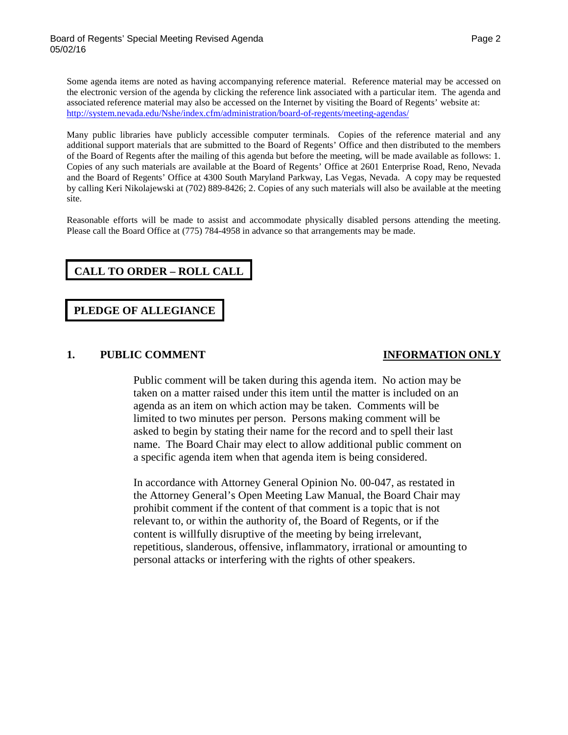Some agenda items are noted as having accompanying reference material. Reference material may be accessed on the electronic version of the agenda by clicking the reference link associated with a particular item. The agenda and associated reference material may also be accessed on the Internet by visiting the Board of Regents' website at: <http://system.nevada.edu/Nshe/index.cfm/administration/board-of-regents/meeting-agendas/>

Many public libraries have publicly accessible computer terminals. Copies of the reference material and any additional support materials that are submitted to the Board of Regents' Office and then distributed to the members of the Board of Regents after the mailing of this agenda but before the meeting, will be made available as follows: 1. Copies of any such materials are available at the Board of Regents' Office at 2601 Enterprise Road, Reno, Nevada and the Board of Regents' Office at 4300 South Maryland Parkway, Las Vegas, Nevada. A copy may be requested by calling Keri Nikolajewski at (702) 889-8426; 2. Copies of any such materials will also be available at the meeting site.

Reasonable efforts will be made to assist and accommodate physically disabled persons attending the meeting. Please call the Board Office at (775) 784-4958 in advance so that arrangements may be made.

# **CALL TO ORDER – ROLL CALL**

# **PLEDGE OF ALLEGIANCE**

### **1. PUBLIC COMMENT INFORMATION ONLY**

Public comment will be taken during this agenda item. No action may be taken on a matter raised under this item until the matter is included on an agenda as an item on which action may be taken. Comments will be limited to two minutes per person. Persons making comment will be asked to begin by stating their name for the record and to spell their last name. The Board Chair may elect to allow additional public comment on a specific agenda item when that agenda item is being considered.

In accordance with Attorney General Opinion No. 00-047, as restated in the Attorney General's Open Meeting Law Manual, the Board Chair may prohibit comment if the content of that comment is a topic that is not relevant to, or within the authority of, the Board of Regents, or if the content is willfully disruptive of the meeting by being irrelevant, repetitious, slanderous, offensive, inflammatory, irrational or amounting to personal attacks or interfering with the rights of other speakers.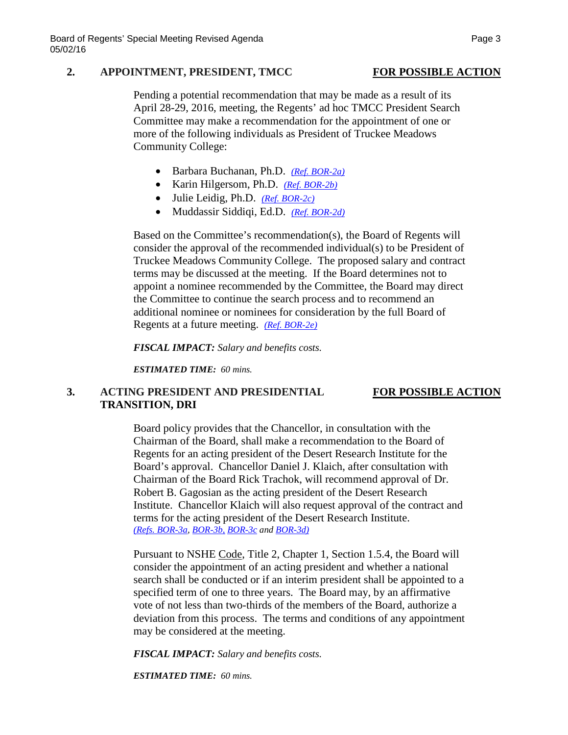### **2. APPOINTMENT, PRESIDENT, TMCC FOR POSSIBLE ACTION**

Pending a potential recommendation that may be made as a result of its April 28-29, 2016, meeting, the Regents' ad hoc TMCC President Search Committee may make a recommendation for the appointment of one or more of the following individuals as President of Truckee Meadows Community College:

- Barbara Buchanan, Ph.D. *[\(Ref. BOR-2a\)](http://system.nevada.edu/tasks/sites/Nshe/assets/File/BoardOfRegents/Agendas/2016/may-mtgs/bor-refs-revised/BOR-2a.pdf)*
- Karin Hilgersom, Ph.D. *[\(Ref. BOR-2b\)](http://system.nevada.edu/tasks/sites/Nshe/assets/File/BoardOfRegents/Agendas/2016/may-mtgs/bor-refs-revised/BOR-2b.pdf)*
- Julie Leidig, Ph.D. *[\(Ref. BOR-2c\)](http://system.nevada.edu/tasks/sites/Nshe/assets/File/BoardOfRegents/Agendas/2016/may-mtgs/bor-refs-revised/BOR-2c.pdf)*
- Muddassir Siddiqi, Ed.D. *[\(Ref. BOR-2d\)](http://system.nevada.edu/tasks/sites/Nshe/assets/File/BoardOfRegents/Agendas/2016/may-mtgs/bor-refs-revised/BOR-2d.pdf)*

Based on the Committee's recommendation(s), the Board of Regents will consider the approval of the recommended individual(s) to be President of Truckee Meadows Community College. The proposed salary and contract terms may be discussed at the meeting. If the Board determines not to appoint a nominee recommended by the Committee, the Board may direct the Committee to continue the search process and to recommend an additional nominee or nominees for consideration by the full Board of Regents at a future meeting. *[\(Ref. BOR-2e\)](http://system.nevada.edu/tasks/sites/Nshe/assets/File/BoardOfRegents/Agendas/2016/may-mtgs/bor-refs-revised/BOR-2e.pdf)*

*FISCAL IMPACT: Salary and benefits costs.*

*ESTIMATED TIME: 60 mins.*

# **3. ACTING PRESIDENT AND PRESIDENTIAL FOR POSSIBLE ACTION TRANSITION, DRI**

Board policy provides that the Chancellor, in consultation with the Chairman of the Board, shall make a recommendation to the Board of Regents for an acting president of the Desert Research Institute for the Board's approval. Chancellor Daniel J. Klaich, after consultation with Chairman of the Board Rick Trachok, will recommend approval of Dr. Robert B. Gagosian as the acting president of the Desert Research Institute. Chancellor Klaich will also request approval of the contract and terms for the acting president of the Desert Research Institute. *[\(Refs. BOR-3a,](http://system.nevada.edu/tasks/sites/Nshe/assets/File/BoardOfRegents/Agendas/2016/may-mtgs/bor-refs-revised/BOR-3a.pdf) [BOR-3b,](http://system.nevada.edu/tasks/sites/Nshe/assets/File/BoardOfRegents/Agendas/2016/may-mtgs/bor-refs-revised/BOR-3b.pdf) [BOR-3c](http://system.nevada.edu/tasks/sites/Nshe/assets/File/BoardOfRegents/Agendas/2016/may-mtgs/bor-refs-revised/BOR-3c.pdf) and [BOR-3d\)](http://system.nevada.edu/tasks/sites/Nshe/assets/File/BoardOfRegents/Agendas/2016/may-mtgs/bor-refs-revised/BOR-3d.pdf)*

Pursuant to NSHE Code, Title 2, Chapter 1, Section 1.5.4, the Board will consider the appointment of an acting president and whether a national search shall be conducted or if an interim president shall be appointed to a specified term of one to three years. The Board may, by an affirmative vote of not less than two-thirds of the members of the Board, authorize a deviation from this process. The terms and conditions of any appointment may be considered at the meeting.

*FISCAL IMPACT: Salary and benefits costs.*

*ESTIMATED TIME: 60 mins.*